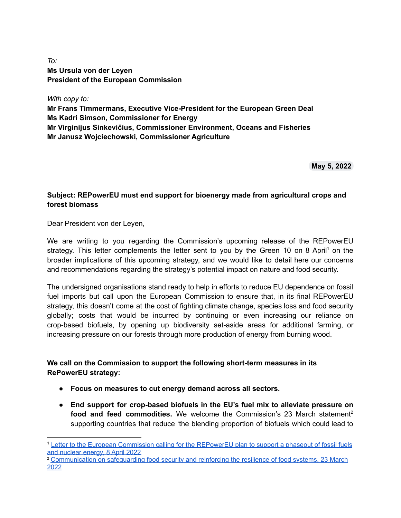## *To:* **Ms Ursula von der Leyen President of the European Commission**

*With copy to:* **Mr Frans Timmermans, Executive Vice-President for the European Green Deal Ms Kadri Simson, Commissioner for Energy Mr Virginijus Sinkevičius, Commissioner Environment, Oceans and Fisheries Mr Janusz Wojciechowski, Commissioner Agriculture**

**May 5, 2022**

## **Subject: REPowerEU must end support for bioenergy made from agricultural crops and forest biomass**

Dear President von der Leyen,

We are writing to you regarding the Commission's upcoming release of the REPowerEU strategy. This letter complements the letter sent to you by the Green 10 on 8 April<sup>1</sup> on the broader implications of this upcoming strategy, and we would like to detail here our concerns and recommendations regarding the strategy's potential impact on nature and food security.

The undersigned organisations stand ready to help in efforts to reduce EU dependence on fossil fuel imports but call upon the European Commission to ensure that, in its final REPowerEU strategy, this doesn't come at the cost of fighting climate change, species loss and food security globally; costs that would be incurred by continuing or even increasing our reliance on crop-based biofuels, by opening up biodiversity set-aside areas for additional farming, or increasing pressure on our forests through more production of energy from burning wood.

## **We call on the Commission to support the following short-term measures in its RePowerEU strategy:**

- **Focus on measures to cut energy demand across all sectors.**
- **End support for crop-based biofuels in the EU's fuel mix to alleviate pressure on food and feed commodities.** We welcome the Commission's 23 March statement 2 supporting countries that reduce 'the blending proportion of biofuels which could lead to

<sup>1</sup> Letter to the European Commission calling for the [REPowerEU](https://green10.org/wp-content/uploads/2022/04/20220408-G10-RePowerEU-Letter-to-Commission.pdf) plan to support a phaseout of fossil fuels and [nuclear](https://green10.org/wp-content/uploads/2022/04/20220408-G10-RePowerEU-Letter-to-Commission.pdf) energy, 8 April 2022

<sup>2</sup> [Communication](https://ec.europa.eu/info/sites/default/files/food-farming-fisheries/key_policies/documents/safeguarding-food-security-reinforcing-resilience-food-systems.pdf) on safeguarding food security and reinforcing the resilience of food systems, 23 March [2022](https://ec.europa.eu/info/sites/default/files/food-farming-fisheries/key_policies/documents/safeguarding-food-security-reinforcing-resilience-food-systems.pdf)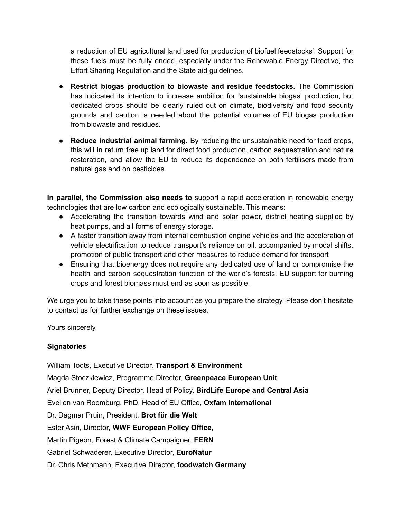a reduction of EU agricultural land used for production of biofuel feedstocks'. Support for these fuels must be fully ended, especially under the Renewable Energy Directive, the Effort Sharing Regulation and the State aid guidelines.

- **Restrict biogas production to biowaste and residue feedstocks.** The Commission has indicated its intention to increase ambition for 'sustainable biogas' production, but dedicated crops should be clearly ruled out on climate, biodiversity and food security grounds and caution is needed about the potential volumes of EU biogas production from biowaste and residues.
- **● Reduce industrial animal farming.** By reducing the unsustainable need for feed crops, this will in return free up land for direct food production, carbon sequestration and nature restoration, and allow the EU to reduce its dependence on both fertilisers made from natural gas and on pesticides.

**In parallel, the Commission also needs to** support a rapid acceleration in renewable energy technologies that are low carbon and ecologically sustainable. This means:

- Accelerating the transition towards wind and solar power, district heating supplied by heat pumps, and all forms of energy storage.
- A faster transition away from internal combustion engine vehicles and the acceleration of vehicle electrification to reduce transport's reliance on oil, accompanied by modal shifts, promotion of public transport and other measures to reduce demand for transport
- Ensuring that bioenergy does not require any dedicated use of land or compromise the health and carbon sequestration function of the world's forests. EU support for burning crops and forest biomass must end as soon as possible.

We urge you to take these points into account as you prepare the strategy. Please don't hesitate to contact us for further exchange on these issues.

Yours sincerely,

## **Signatories**

William Todts, Executive Director, **Transport & Environment** Magda Stoczkiewicz, Programme Director, **Greenpeace European Unit** Ariel Brunner, Deputy Director, Head of Policy, **BirdLife Europe and Central Asia** Evelien van Roemburg, PhD, Head of EU Office, **Oxfam International** Dr. Dagmar Pruin, President, **Brot für die Welt** Ester Asin, Director, **WWF European Policy Office,** Martin Pigeon, Forest & Climate Campaigner, **FERN** Gabriel Schwaderer, Executive Director, **EuroNatur** Dr. Chris Methmann, Executive Director, **foodwatch Germany**